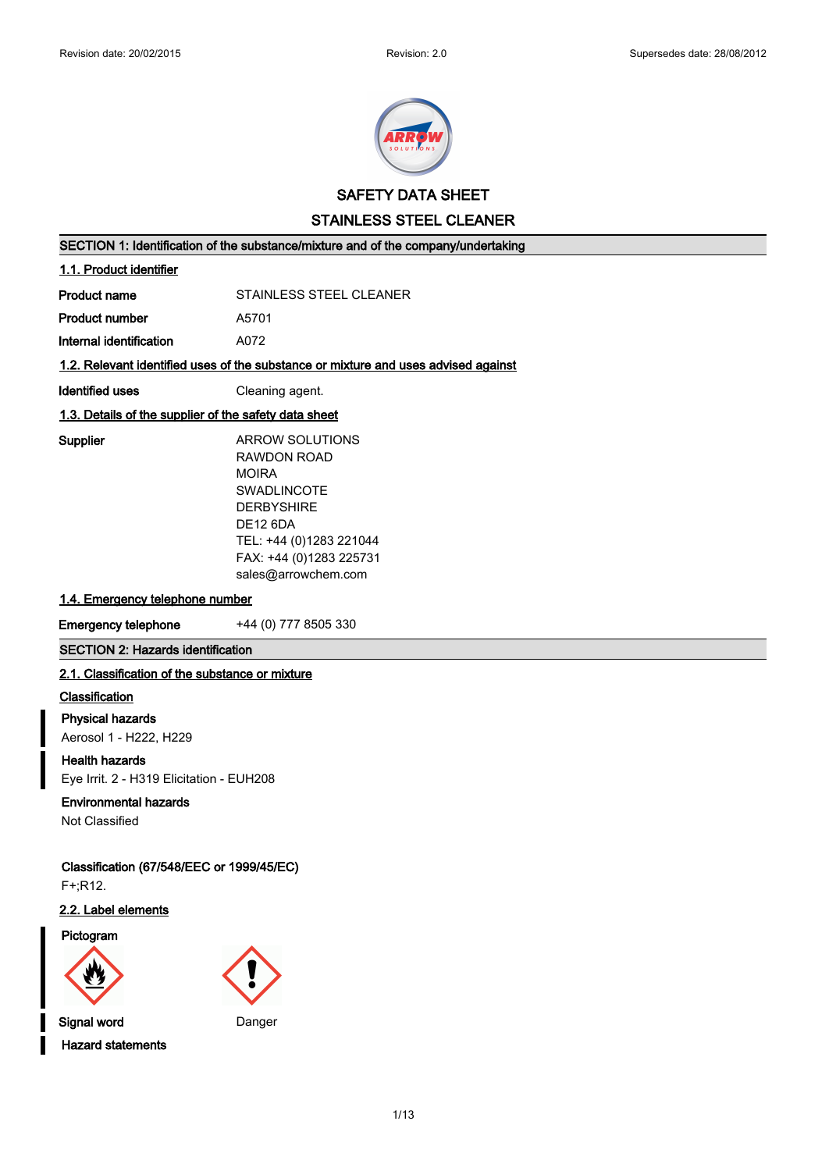

**SAFETY DATA SHEET**

**STAINLESS STEEL CLEANER**

**SECTION 1: Identification of the substance/mixture and of the company/undertaking**

### **1.1. Product identifier**

**Product number** A5701

**Internal identification** A072

# **1.2. Relevant identified uses of the substance or mixture and uses advised against**

**Identified uses Cleaning agent.** 

### **1.3. Details of the supplier of the safety data sheet**

**Supplier** ARROW SOLUTIONS RAWDON ROAD MOIRA SWADLINCOTE **DERBYSHIRE** DE12 6DA TEL: +44 (0)1283 221044 FAX: +44 (0)1283 225731 sales@arrowchem.com

# **1.4. Emergency telephone number**

**Emergency telephone** +44 (0) 777 8505 330

# **SECTION 2: Hazards identification**

### **2.1. Classification of the substance or mixture**

#### **Classification**

**Physical hazards**

Aerosol 1 - H222, H229

**Health hazards** Eye Irrit. 2 - H319 Elicitation - EUH208

### **Environmental hazards**

Not Classified

# **Classification (67/548/EEC or 1999/45/EC)**

F+;R12.

# **2.2. Label elements**

#### **Pictogram**



**Signal word** Danger **Hazard statements**



1/13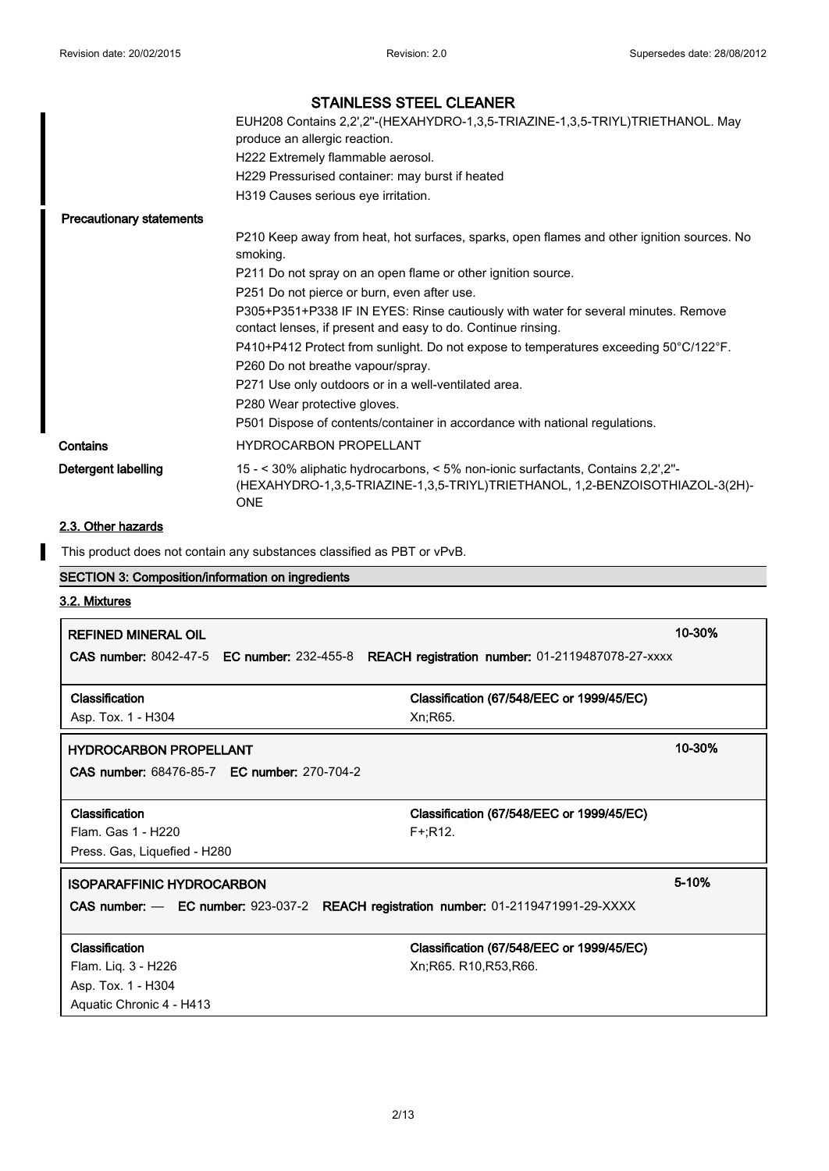|                                 | EUH208 Contains 2,2',2"-(HEXAHYDRO-1,3,5-TRIAZINE-1,3,5-TRIYL)TRIETHANOL. May<br>produce an allergic reaction.<br>H222 Extremely flammable aerosol.<br>H229 Pressurised container: may burst if heated |
|---------------------------------|--------------------------------------------------------------------------------------------------------------------------------------------------------------------------------------------------------|
|                                 | H319 Causes serious eye irritation.                                                                                                                                                                    |
| <b>Precautionary statements</b> |                                                                                                                                                                                                        |
|                                 | P210 Keep away from heat, hot surfaces, sparks, open flames and other ignition sources. No<br>smoking.                                                                                                 |
|                                 | P211 Do not spray on an open flame or other ignition source.                                                                                                                                           |
|                                 | P251 Do not pierce or burn, even after use.                                                                                                                                                            |
|                                 | P305+P351+P338 IF IN EYES: Rinse cautiously with water for several minutes. Remove<br>contact lenses, if present and easy to do. Continue rinsing.                                                     |
|                                 | P410+P412 Protect from sunlight. Do not expose to temperatures exceeding 50°C/122°F.                                                                                                                   |
|                                 | P260 Do not breathe vapour/spray.                                                                                                                                                                      |
|                                 | P271 Use only outdoors or in a well-ventilated area.                                                                                                                                                   |
|                                 | P280 Wear protective gloves.                                                                                                                                                                           |
|                                 | P501 Dispose of contents/container in accordance with national regulations.                                                                                                                            |
| Contains                        | <b>HYDROCARBON PROPELLANT</b>                                                                                                                                                                          |
| Detergent labelling             | 15 - < 30% aliphatic hydrocarbons, < 5% non-ionic surfactants, Contains 2,2',2"-<br>(HEXAHYDRO-1,3,5-TRIAZINE-1,3,5-TRIYL)TRIETHANOL, 1,2-BENZOISOTHIAZOL-3(2H)-<br><b>ONE</b>                         |

# **2.3. Other hazards**

This product does not contain any substances classified as PBT or vPvB.

# **SECTION 3: Composition/information on ingredients**

# **3.2. Mixtures**

I

| <b>REFINED MINERAL OIL</b>                                                                  |                                           | 10-30%    |
|---------------------------------------------------------------------------------------------|-------------------------------------------|-----------|
| CAS number: 8042-47-5 EC number: 232-455-8 REACH registration number: 01-2119487078-27-xxxx |                                           |           |
|                                                                                             |                                           |           |
| Classification                                                                              | Classification (67/548/EEC or 1999/45/EC) |           |
| Asp. Tox. 1 - H304                                                                          | Xn; R65.                                  |           |
| <b>HYDROCARBON PROPELLANT</b>                                                               |                                           | 10-30%    |
| <b>CAS number: 68476-85-7 EC number: 270-704-2</b>                                          |                                           |           |
|                                                                                             |                                           |           |
| <b>Classification</b>                                                                       | Classification (67/548/EEC or 1999/45/EC) |           |
| Flam. Gas 1 - H220                                                                          | $F+$ :R12.                                |           |
| Press. Gas, Liquefied - H280                                                                |                                           |           |
| <b>ISOPARAFFINIC HYDROCARBON</b>                                                            |                                           | $5 - 10%$ |
| CAS number: - EC number: 923-037-2 REACH registration number: 01-2119471991-29-XXXX         |                                           |           |
|                                                                                             |                                           |           |
| Classification                                                                              | Classification (67/548/EEC or 1999/45/EC) |           |
| Flam. Liq. 3 - H226                                                                         | Xn;R65. R10,R53,R66.                      |           |
| Asp. Tox. 1 - H304                                                                          |                                           |           |
| Aquatic Chronic 4 - H413                                                                    |                                           |           |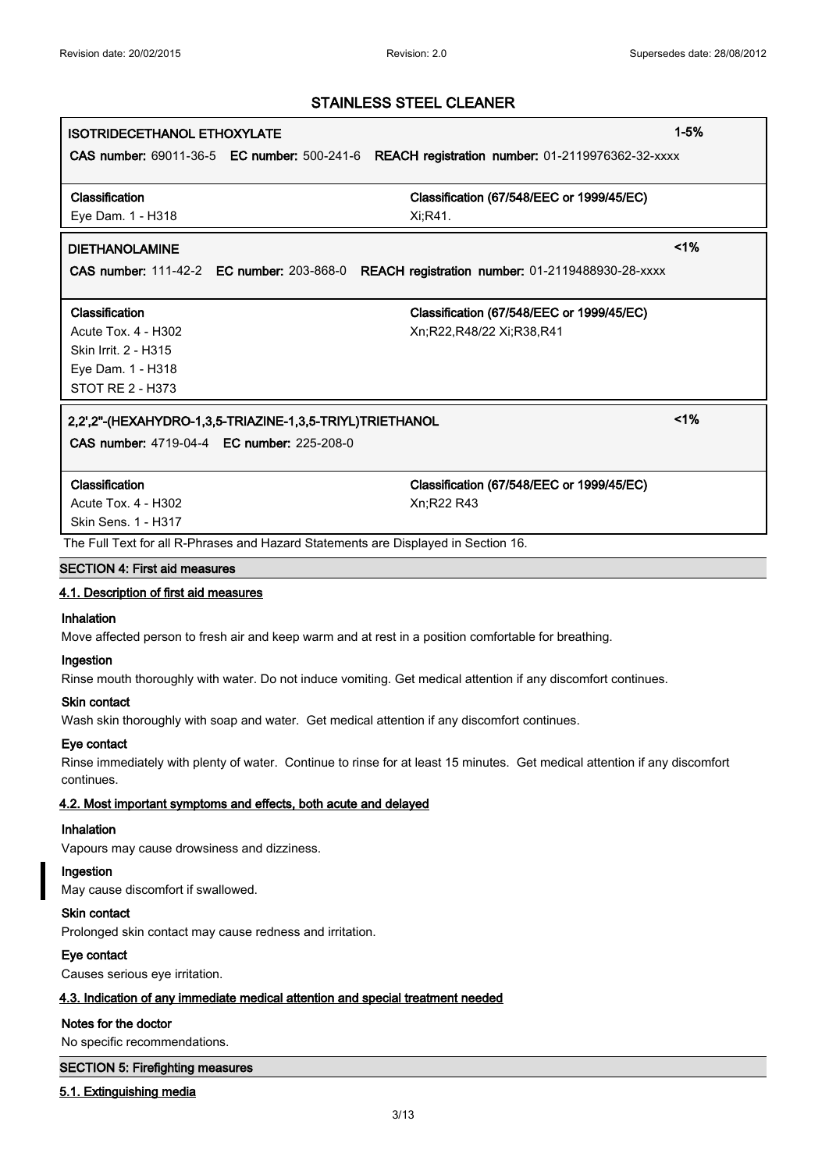| <b>ISOTRIDECETHANOL ETHOXYLATE</b>                                                           |                                           | $1 - 5%$ |
|----------------------------------------------------------------------------------------------|-------------------------------------------|----------|
| CAS number: 69011-36-5 EC number: 500-241-6 REACH registration number: 01-2119976362-32-xxxx |                                           |          |
|                                                                                              |                                           |          |
| Classification                                                                               | Classification (67/548/EEC or 1999/45/EC) |          |
| Eye Dam. 1 - H318                                                                            | Xi:R41.                                   |          |
| <b>DIETHANOLAMINE</b>                                                                        |                                           | 1%       |
| CAS number: 111-42-2 EC number: 203-868-0 REACH registration number: 01-2119488930-28-xxxx   |                                           |          |
| Classification                                                                               | Classification (67/548/EEC or 1999/45/EC) |          |
| Acute Tox. 4 - H302                                                                          | Xn;R22,R48/22 Xi;R38,R41                  |          |
| Skin Irrit. 2 - H315                                                                         |                                           |          |
| Eye Dam. 1 - H318                                                                            |                                           |          |
| <b>STOT RE 2 - H373</b>                                                                      |                                           |          |
|                                                                                              |                                           |          |
| 2,2',2"-(HEXAHYDRO-1,3,5-TRIAZINE-1,3,5-TRIYL)TRIETHANOL                                     |                                           | 1%       |
| <b>CAS number: 4719-04-4 EC number: 225-208-0</b>                                            |                                           |          |
|                                                                                              |                                           |          |
| Classification                                                                               | Classification (67/548/EEC or 1999/45/EC) |          |
| Acute Tox. 4 - H302                                                                          | Xn:R22 R43                                |          |
| Skin Sens. 1 - H317                                                                          |                                           |          |
| The Full Text for all R-Phrases and Hazard Statements are Displayed in Section 16.           |                                           |          |
| <b>SECTION 4: First aid measures</b>                                                         |                                           |          |

### **4.1. Description of first aid measures**

#### **Inhalation**

Move affected person to fresh air and keep warm and at rest in a position comfortable for breathing.

#### **Ingestion**

Rinse mouth thoroughly with water. Do not induce vomiting. Get medical attention if any discomfort continues.

#### **Skin contact**

Wash skin thoroughly with soap and water. Get medical attention if any discomfort continues.

### **Eye contact**

Rinse immediately with plenty of water. Continue to rinse for at least 15 minutes. Get medical attention if any discomfort continues.

### **4.2. Most important symptoms and effects, both acute and delayed**

# **Inhalation**

Vapours may cause drowsiness and dizziness.

# **Ingestion**

May cause discomfort if swallowed.

# **Skin contact**

Prolonged skin contact may cause redness and irritation.

# **Eye contact**

Causes serious eye irritation.

# **4.3. Indication of any immediate medical attention and special treatment needed**

# **Notes for the doctor**

No specific recommendations.

# **SECTION 5: Firefighting measures**

**5.1. Extinguishing media**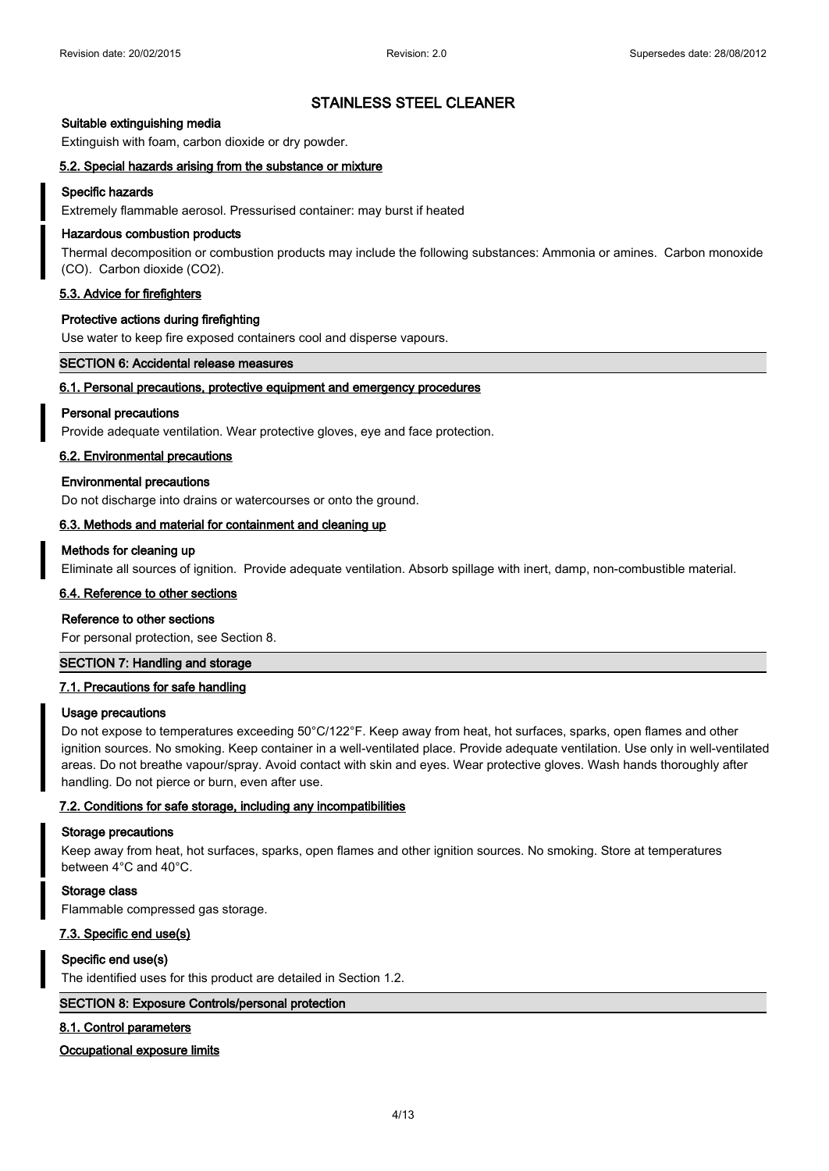#### **Suitable extinguishing media**

Extinguish with foam, carbon dioxide or dry powder.

#### **5.2. Special hazards arising from the substance or mixture**

#### **Specific hazards**

Extremely flammable aerosol. Pressurised container: may burst if heated

### **Hazardous combustion products**

Thermal decomposition or combustion products may include the following substances: Ammonia or amines. Carbon monoxide (CO). Carbon dioxide (CO2).

### **5.3. Advice for firefighters**

#### **Protective actions during firefighting**

Use water to keep fire exposed containers cool and disperse vapours.

#### **SECTION 6: Accidental release measures**

# **6.1. Personal precautions, protective equipment and emergency procedures**

#### **Personal precautions**

Provide adequate ventilation. Wear protective gloves, eye and face protection.

#### **6.2. Environmental precautions**

#### **Environmental precautions**

Do not discharge into drains or watercourses or onto the ground.

#### **6.3. Methods and material for containment and cleaning up**

#### **Methods for cleaning up**

Eliminate all sources of ignition. Provide adequate ventilation. Absorb spillage with inert, damp, non-combustible material.

### **6.4. Reference to other sections**

#### **Reference to other sections**

For personal protection, see Section 8.

#### **SECTION 7: Handling and storage**

#### **7.1. Precautions for safe handling**

#### **Usage precautions**

Do not expose to temperatures exceeding 50°C/122°F. Keep away from heat, hot surfaces, sparks, open flames and other ignition sources. No smoking. Keep container in a well-ventilated place. Provide adequate ventilation. Use only in well-ventilated areas. Do not breathe vapour/spray. Avoid contact with skin and eyes. Wear protective gloves. Wash hands thoroughly after handling. Do not pierce or burn, even after use.

#### **7.2. Conditions for safe storage, including any incompatibilities**

#### **Storage precautions**

Keep away from heat, hot surfaces, sparks, open flames and other ignition sources. No smoking. Store at temperatures between 4°C and 40°C.

#### **Storage class**

Flammable compressed gas storage.

### **7.3. Specific end use(s)**

#### **Specific end use(s)**

The identified uses for this product are detailed in Section 1.2.

### **SECTION 8: Exposure Controls/personal protection**

#### **8.1. Control parameters**

#### **Occupational exposure limits**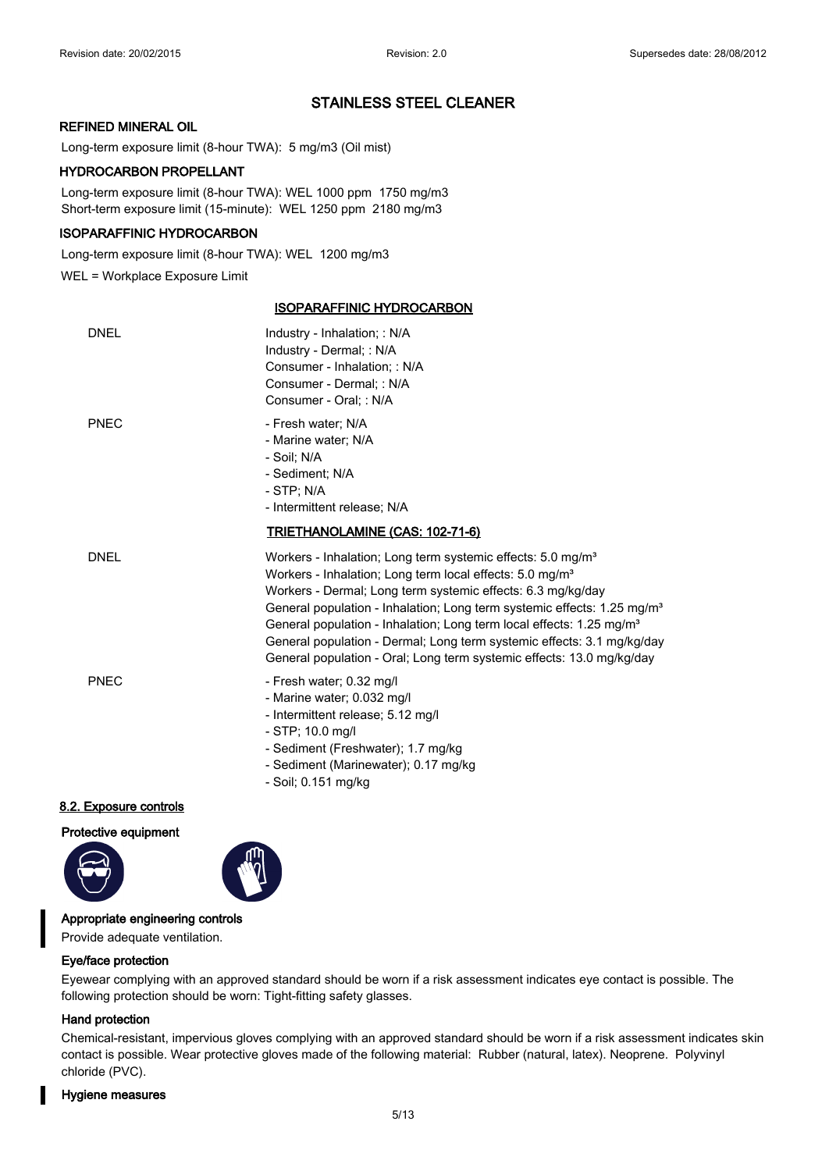### **REFINED MINERAL OIL**

Long-term exposure limit (8-hour TWA): 5 mg/m3 (Oil mist)

### **HYDROCARBON PROPELLANT**

Long-term exposure limit (8-hour TWA): WEL 1000 ppm 1750 mg/m3 Short-term exposure limit (15-minute): WEL 1250 ppm 2180 mg/m3

#### **ISOPARAFFINIC HYDROCARBON**

Long-term exposure limit (8-hour TWA): WEL 1200 mg/m3

WEL = Workplace Exposure Limit

# **ISOPARAFFINIC HYDROCARBON**

| <b>DNEL</b> | Industry - Inhalation; : N/A<br>Industry - Dermal; : N/A<br>Consumer - Inhalation: : N/A<br>Consumer - Dermal; : N/A<br>Consumer - Oral: : N/A                                                                                                                                                                                                                                                                                                                                                                                               |
|-------------|----------------------------------------------------------------------------------------------------------------------------------------------------------------------------------------------------------------------------------------------------------------------------------------------------------------------------------------------------------------------------------------------------------------------------------------------------------------------------------------------------------------------------------------------|
| PNEC        | - Fresh water; N/A<br>- Marine water; N/A<br>- Soil: N/A<br>- Sediment: N/A<br>- STP: N/A<br>- Intermittent release; N/A                                                                                                                                                                                                                                                                                                                                                                                                                     |
|             | <u>TRIETHANOLAMINE (CAS: 102-71-6)</u>                                                                                                                                                                                                                                                                                                                                                                                                                                                                                                       |
| <b>DNEL</b> | Workers - Inhalation; Long term systemic effects: 5.0 mg/m <sup>3</sup><br>Workers - Inhalation; Long term local effects: 5.0 mg/m <sup>3</sup><br>Workers - Dermal; Long term systemic effects: 6.3 mg/kg/day<br>General population - Inhalation; Long term systemic effects: 1.25 mg/m <sup>3</sup><br>General population - Inhalation; Long term local effects: 1.25 mg/m <sup>3</sup><br>General population - Dermal; Long term systemic effects: 3.1 mg/kg/day<br>General population - Oral; Long term systemic effects: 13.0 mg/kg/day |
| <b>PNEC</b> | - Fresh water; 0.32 mg/l<br>- Marine water; 0.032 mg/l<br>- Intermittent release; 5.12 mg/l<br>- STP; 10.0 mg/l<br>- Sediment (Freshwater); 1.7 mg/kg<br>- Sediment (Marinewater); 0.17 mg/kg                                                                                                                                                                                                                                                                                                                                                |

- Soil; 0.151 mg/kg

# **8.2. Exposure controls**

**Protective equipment**





#### **Appropriate engineering controls**

Provide adequate ventilation.

#### **Eye/face protection**

Eyewear complying with an approved standard should be worn if a risk assessment indicates eye contact is possible. The following protection should be worn: Tight-fitting safety glasses.

#### **Hand protection**

Chemical-resistant, impervious gloves complying with an approved standard should be worn if a risk assessment indicates skin contact is possible. Wear protective gloves made of the following material: Rubber (natural, latex). Neoprene. Polyvinyl chloride (PVC).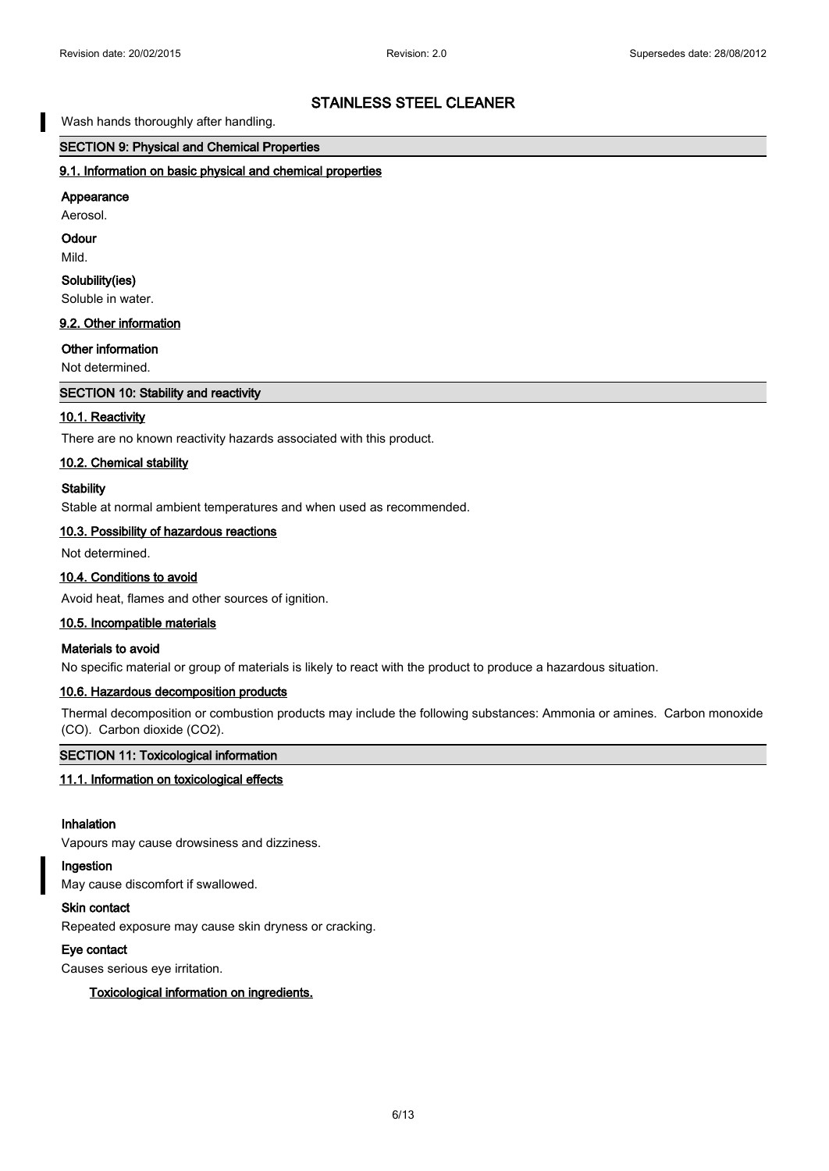# Wash hands thoroughly after handling.

# **SECTION 9: Physical and Chemical Properties**

#### **9.1. Information on basic physical and chemical properties**

# **Appearance**

Aerosol.

**Odour**

Mild.

### **Solubility(ies)**

Soluble in water.

### **9.2. Other information**

#### **Other information**

Not determined.

# **SECTION 10: Stability and reactivity**

#### **10.1. Reactivity**

There are no known reactivity hazards associated with this product.

#### **10.2. Chemical stability**

### **Stability**

Stable at normal ambient temperatures and when used as recommended.

### **10.3. Possibility of hazardous reactions**

Not determined.

#### **10.4. Conditions to avoid**

Avoid heat, flames and other sources of ignition.

### **10.5. Incompatible materials**

### **Materials to avoid**

No specific material or group of materials is likely to react with the product to produce a hazardous situation.

### **10.6. Hazardous decomposition products**

Thermal decomposition or combustion products may include the following substances: Ammonia or amines. Carbon monoxide (CO). Carbon dioxide (CO2).

#### **SECTION 11: Toxicological information**

#### **11.1. Information on toxicological effects**

### **Inhalation**

Vapours may cause drowsiness and dizziness.

# **Ingestion**

May cause discomfort if swallowed.

#### **Skin contact**

Repeated exposure may cause skin dryness or cracking.

### **Eye contact**

Causes serious eye irritation.

#### **Toxicological information on ingredients.**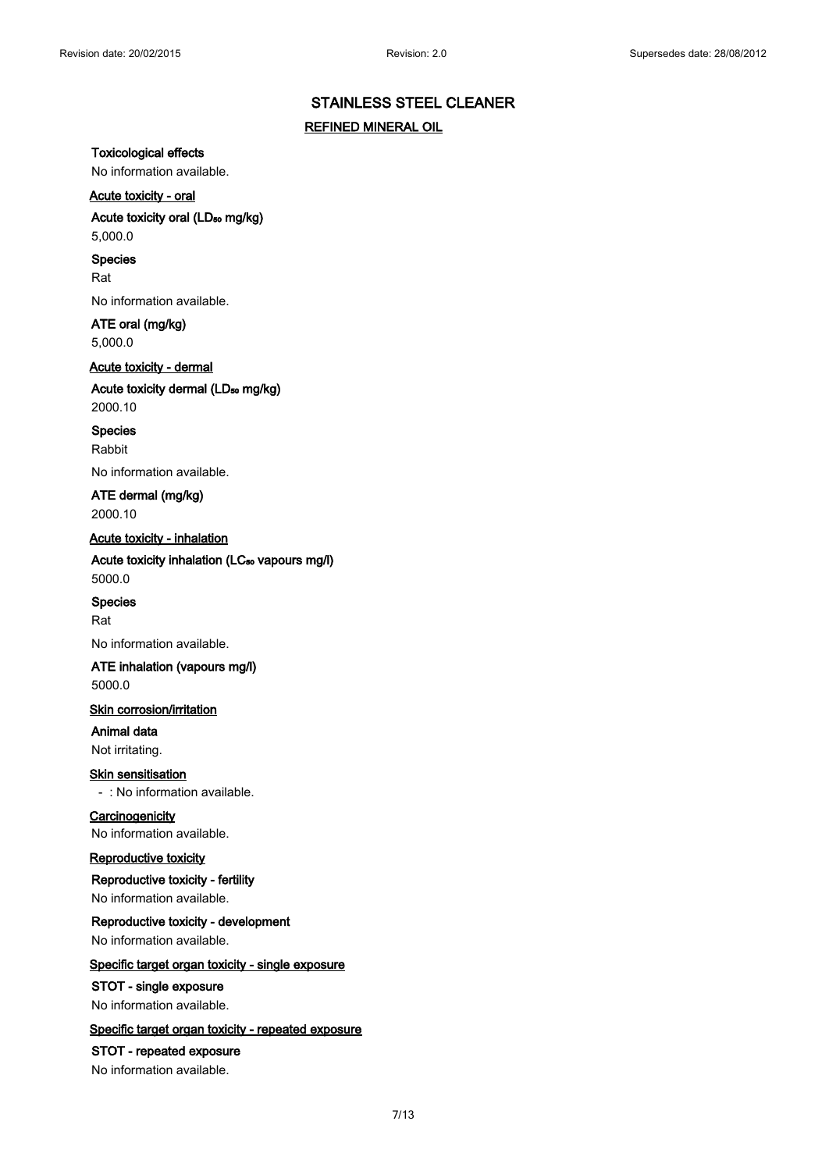# **REFINED MINERAL OIL**

**Toxicological effects**

No information available.

### **Acute toxicity - oral**

# Acute toxicity oral (LD<sub>50</sub> mg/kg)

5,000.0

# **Species**

Rat

No information available.

# **ATE oral (mg/kg)**

5,000.0

# **Acute toxicity - dermal** Acute toxicity dermal (LD<sub>50</sub> mg/kg) 2000.10

**Species**

Rabbit

No information available.

**ATE dermal (mg/kg)** 2000.10

# **Acute toxicity - inhalation**

Acute toxicity inhalation (LC<sub>50</sub> vapours mg/l) 5000.0

#### **Species**

Rat

No information available.

### **ATE inhalation (vapours mg/l)** 5000.0

### **Skin corrosion/irritation**

**Animal data** Not irritating.

#### **Skin sensitisation**

- : No information available.

#### **Carcinogenicity** No information available.

#### **Reproductive toxicity**

**Reproductive toxicity - fertility** No information available.

# **Reproductive toxicity - development** No information available.

### **Specific target organ toxicity - single exposure**

**STOT - single exposure** No information available.

#### **Specific target organ toxicity - repeated exposure**

# **STOT - repeated exposure**

No information available.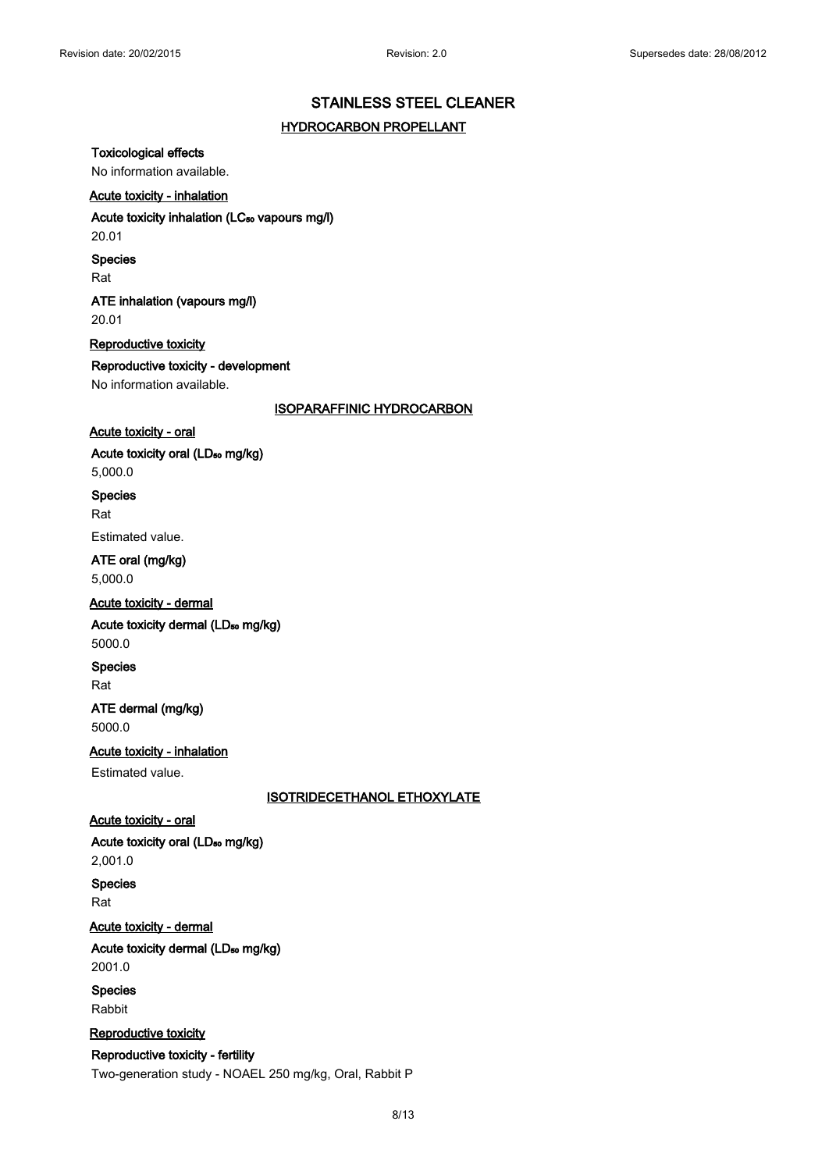#### **HYDROCARBON PROPELLANT**

#### **Toxicological effects**

No information available.

### **Acute toxicity - inhalation**

### Acute toxicity inhalation (LC<sub>50</sub> vapours mg/l)

20.01

#### **Species**

Rat

# **ATE inhalation (vapours mg/l)** 20.01

**Reproductive toxicity Reproductive toxicity - development** No information available.

**ISOPARAFFINIC HYDROCARBON**

# **Acute toxicity - oral**

Acute toxicity oral (LD<sub>50</sub> mg/kg)

5,000.0

#### **Species**

Rat

Estimated value.

**ATE oral (mg/kg)** 5,000.0

#### **Acute toxicity - dermal**

Acute toxicity dermal (LD<sub>50</sub> mg/kg) 5000.0

**Species**

Rat

# **ATE dermal (mg/kg)** 5000.0

**Acute toxicity - inhalation**

Estimated value.

**ISOTRIDECETHANOL ETHOXYLATE**

# **Acute toxicity - oral**

Acute toxicity oral (LD<sub>50</sub> mg/kg)

2,001.0

**Species**

Rat

**Acute toxicity - dermal**

Acute toxicity dermal (LD<sub>50</sub> mg/kg) 2001.0

**Species** Rabbit

#### **Reproductive toxicity**

# **Reproductive toxicity - fertility**

Two-generation study - NOAEL 250 mg/kg, Oral, Rabbit P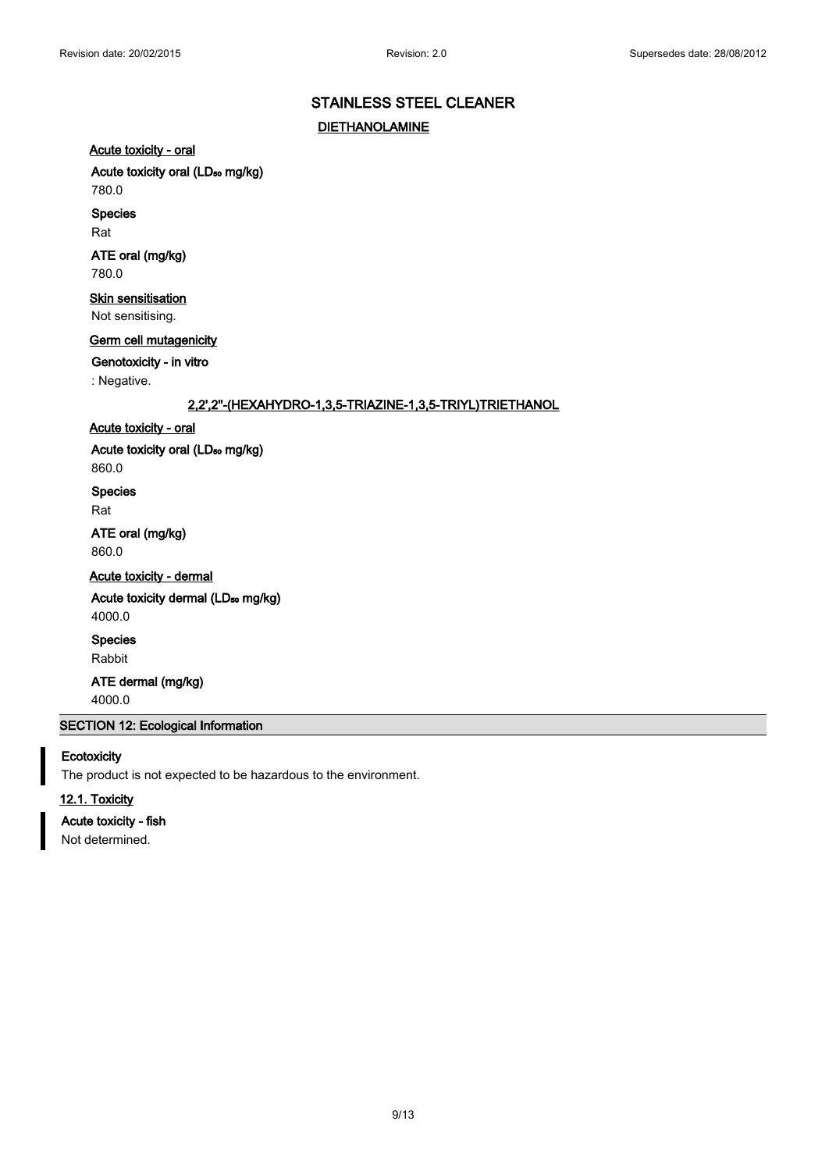# **STAINLESS STEEL CLEANER DIETHANOLAMINE**

# **Acute toxicity - oral**

# Acute toxicity oral (LD<sub>50</sub> mg/kg)

# 780.0

**Species**

Rat

# **ATE oral (mg/kg)**

780.0

# **Skin sensitisation**

Not sensitising.

# **Germ cell mutagenicity**

**Genotoxicity - in vitro**

: Negative.

# **2,2',2''-(HEXAHYDRO-1,3,5-TRIAZINE-1,3,5-TRIYL)TRIETHANOL**

# **Acute toxicity - oral**

Acute toxicity oral (LD<sub>50</sub> mg/kg)

860.0

# **Species**

Rat

# **ATE oral (mg/kg)** 860.0

**Acute toxicity - dermal**

# Acute toxicity dermal (LD<sub>50</sub> mg/kg) 4000.0

**Species**

# Rabbit

**ATE dermal (mg/kg)** 4000.0

### **SECTION 12: Ecological Information**

# **Ecotoxicity**

The product is not expected to be hazardous to the environment.

# **12.1. Toxicity**

# **Acute toxicity - fish**

Not determined.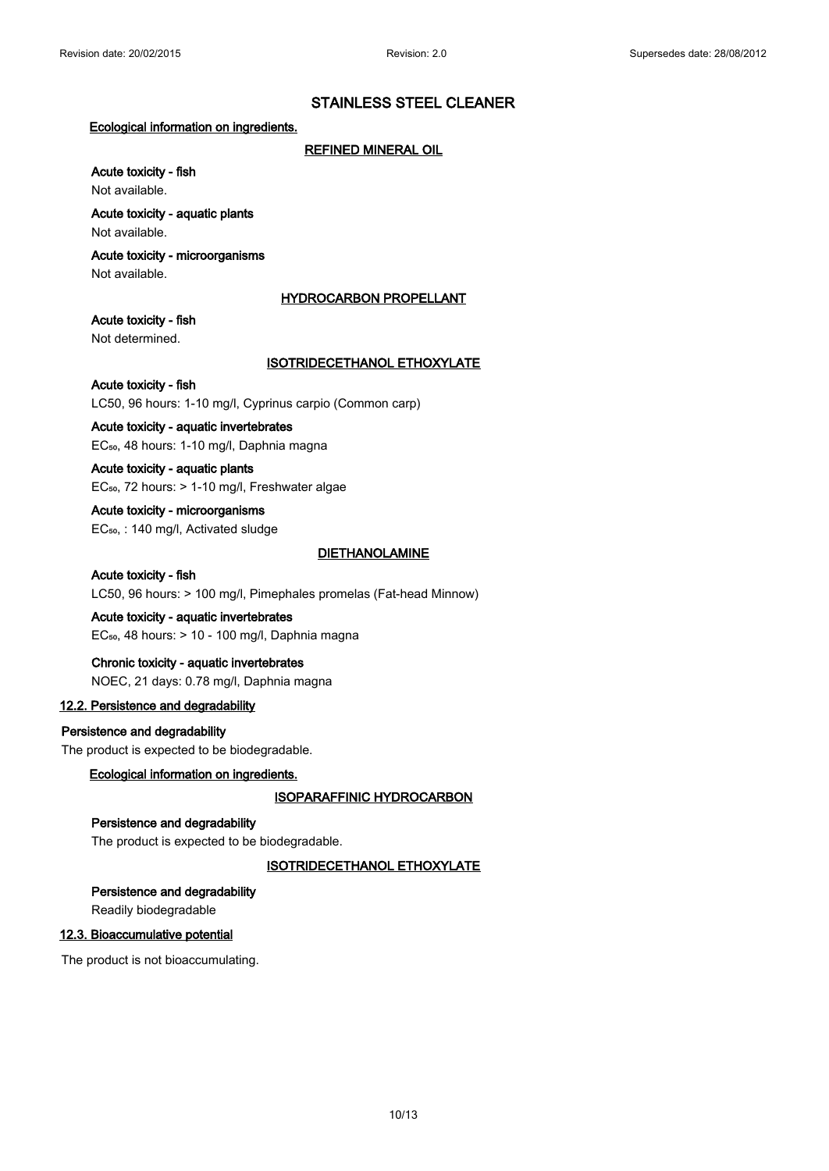### **Ecological information on ingredients.**

### **REFINED MINERAL OIL**

# **Acute toxicity - fish**

Not available.

# **Acute toxicity - aquatic plants**

Not available.

# **Acute toxicity - microorganisms**

Not available.

### **HYDROCARBON PROPELLANT**

# **Acute toxicity - fish**

Not determined.

# **ISOTRIDECETHANOL ETHOXYLATE**

# **Acute toxicity - fish** LC50, 96 hours: 1-10 mg/l, Cyprinus carpio (Common carp)

# **Acute toxicity - aquatic invertebrates**

EC<sub>50</sub>, 48 hours: 1-10 mg/l, Daphnia magna

# **Acute toxicity - aquatic plants** EC<sub>50</sub>, 72 hours: > 1-10 mg/l, Freshwater algae

# **Acute toxicity - microorganisms**

EC<sub>50</sub>, : 140 mg/l, Activated sludge

# **DIETHANOLAMINE**

# **Acute toxicity - fish** LC50, 96 hours: > 100 mg/l, Pimephales promelas (Fat-head Minnow)

# **Acute toxicity - aquatic invertebrates**

 $EC_{50}$ , 48 hours:  $> 10 - 100$  mg/l, Daphnia magna

# **Chronic toxicity - aquatic invertebrates**

NOEC, 21 days: 0.78 mg/l, Daphnia magna

# **12.2. Persistence and degradability**

# **Persistence and degradability**

The product is expected to be biodegradable.

# **Ecological information on ingredients.**

# **ISOPARAFFINIC HYDROCARBON**

# **Persistence and degradability**

The product is expected to be biodegradable.

# **ISOTRIDECETHANOL ETHOXYLATE**

# **Persistence and degradability**

Readily biodegradable

# **12.3. Bioaccumulative potential**

The product is not bioaccumulating.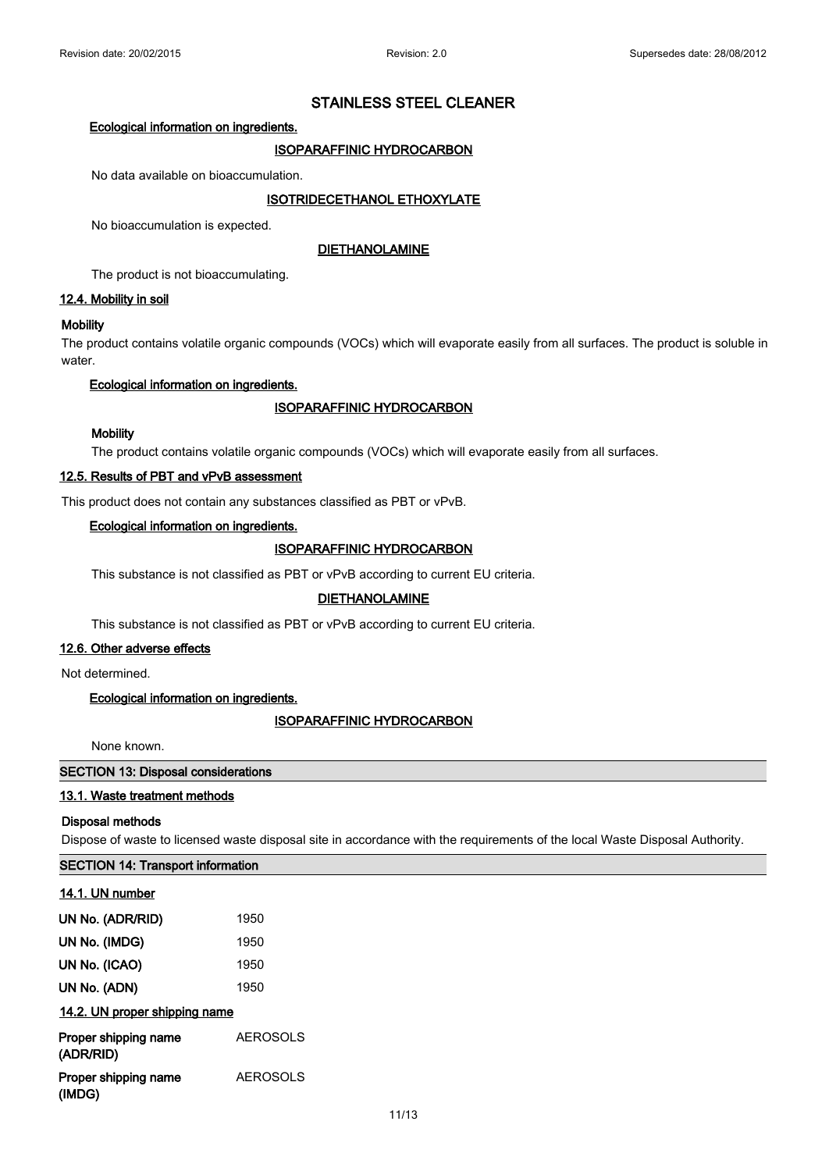### **Ecological information on ingredients.**

# **ISOPARAFFINIC HYDROCARBON**

No data available on bioaccumulation.

# **ISOTRIDECETHANOL ETHOXYLATE**

No bioaccumulation is expected.

### **DIETHANOLAMINE**

The product is not bioaccumulating.

# **12.4. Mobility in soil**

### **Mobility**

The product contains volatile organic compounds (VOCs) which will evaporate easily from all surfaces. The product is soluble in water.

# **Ecological information on ingredients.**

# **ISOPARAFFINIC HYDROCARBON**

### **Mobility**

The product contains volatile organic compounds (VOCs) which will evaporate easily from all surfaces.

### **12.5. Results of PBT and vPvB assessment**

This product does not contain any substances classified as PBT or vPvB.

### **Ecological information on ingredients.**

# **ISOPARAFFINIC HYDROCARBON**

This substance is not classified as PBT or vPvB according to current EU criteria.

# **DIETHANOLAMINE**

This substance is not classified as PBT or vPvB according to current EU criteria.

### **12.6. Other adverse effects**

Not determined.

# **Ecological information on ingredients.**

#### **ISOPARAFFINIC HYDROCARBON**

None known.

### **SECTION 13: Disposal considerations**

#### **13.1. Waste treatment methods**

#### **Disposal methods**

Dispose of waste to licensed waste disposal site in accordance with the requirements of the local Waste Disposal Authority.

#### **SECTION 14: Transport information**

| 14.1. UN number                   |                 |
|-----------------------------------|-----------------|
| UN No. (ADR/RID)                  | 1950            |
| UN No. (IMDG)                     | 1950            |
| UN No. (ICAO)                     | 1950            |
| UN No. (ADN)                      | 1950            |
| 14.2. UN proper shipping name     |                 |
| Proper shipping name<br>(ADR/RID) | <b>AEROSOLS</b> |
| Proper shipping name<br>(IMDG)    | <b>AEROSOLS</b> |
|                                   |                 |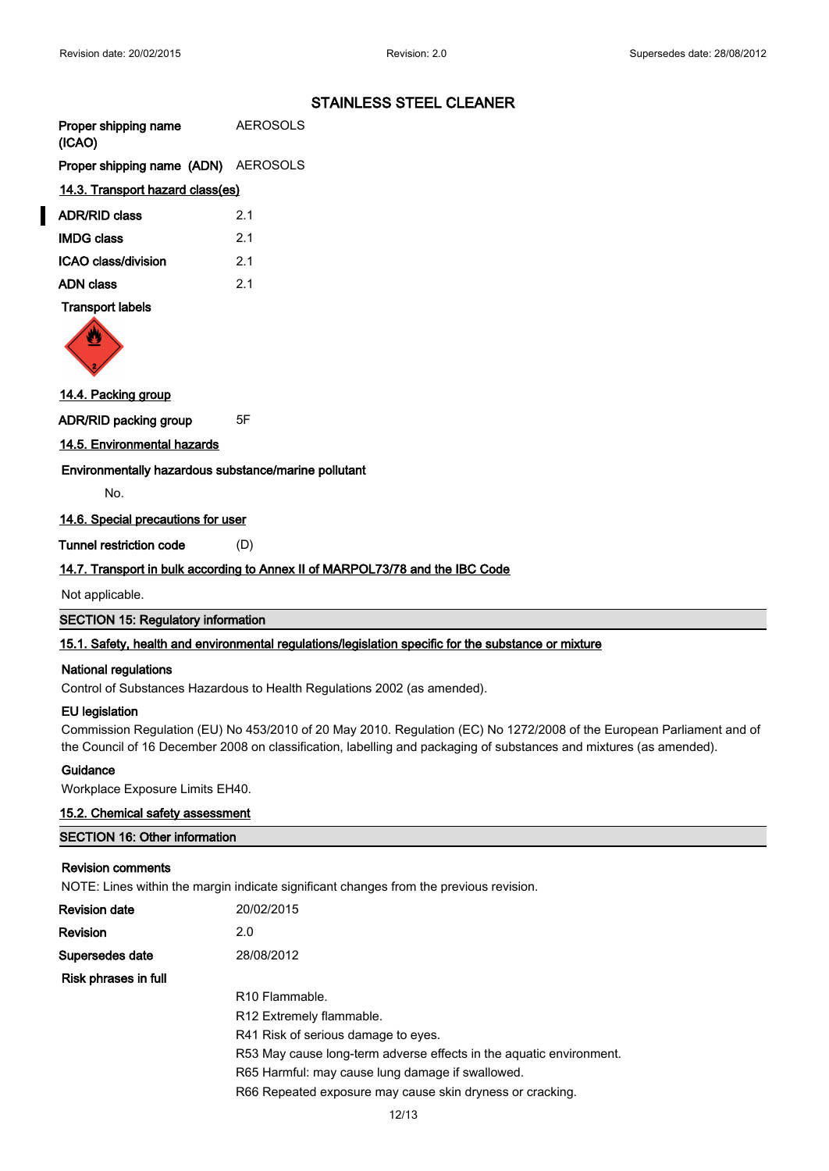| Proper shipping name | <b>AEROSOLS</b> |
|----------------------|-----------------|
| (ICAO)               |                 |

**Proper shipping name (ADN)** AEROSOLS

# **14.3. Transport hazard class(es)**

| <b>ADR/RID class</b> | 2.1 |
|----------------------|-----|
| <b>IMDG class</b>    | 21  |
| ICAO class/division  | 21  |
| <b>ADN class</b>     | 21  |

# **Transport labels**



# **14.4. Packing group**

**ADR/RID packing group** 5F

# **14.5. Environmental hazards**

**Environmentally hazardous substance/marine pollutant**

No.

# **14.6. Special precautions for user**

**Tunnel restriction code** (D)

# **14.7. Transport in bulk according to Annex II of MARPOL73/78 and the IBC Code**

Not applicable.

**SECTION 15: Regulatory information**

# **15.1. Safety, health and environmental regulations/legislation specific for the substance or mixture**

#### **National regulations**

Control of Substances Hazardous to Health Regulations 2002 (as amended).

# **EU legislation**

Commission Regulation (EU) No 453/2010 of 20 May 2010. Regulation (EC) No 1272/2008 of the European Parliament and of the Council of 16 December 2008 on classification, labelling and packaging of substances and mixtures (as amended).

#### **Guidance**

Workplace Exposure Limits EH40.

#### **15.2. Chemical safety assessment**

| <b>SECTION 16: Other information</b> |  |
|--------------------------------------|--|
|                                      |  |

# **Revision comments**

NOTE: Lines within the margin indicate significant changes from the previous revision.

| Revision date        | 20/02/2015                                                          |
|----------------------|---------------------------------------------------------------------|
| Revision             | 2.0                                                                 |
| Supersedes date      | 28/08/2012                                                          |
| Risk phrases in full |                                                                     |
|                      | R <sub>10</sub> Flammable.                                          |
|                      | R <sub>12</sub> Extremely flammable.                                |
|                      | R41 Risk of serious damage to eyes.                                 |
|                      | R53 May cause long-term adverse effects in the aguatic environment. |
|                      | R65 Harmful: may cause lung damage if swallowed.                    |
|                      | R66 Repeated exposure may cause skin dryness or cracking.           |
|                      |                                                                     |